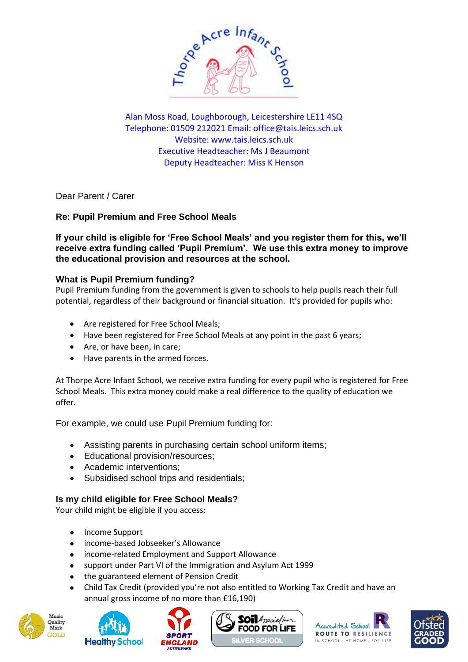

Alan Moss Road, Loughborough, Leicestershire LE11 4SQ Telephone: 01509 212021 Email: [office@tais.leics.sch.uk](mailto:office@tais.leics.sch.uk) Website: www.tais.leics.sch.uk Executive Headteacher: Ms J Beaumont Deputy Headteacher: Miss K Henson

Dear Parent / Carer

# **Re: Pupil Premium and Free School Meals**

**If your child is eligible for 'Free School Meals' and you register them for this, we'll receive extra funding called 'Pupil Premium'. We use this extra money to improve the educational provision and resources at the school.** 

# **What is Pupil Premium funding?**

Pupil Premium funding from the government is given to schools to help pupils reach their full potential, regardless of their background or financial situation. It's provided for pupils who:

- Are registered for Free School Meals;
- Have been registered for Free School Meals at any point in the past 6 years;
- Are, or have been, in care;
- Have parents in the armed forces.

At Thorpe Acre Infant School, we receive extra funding for every pupil who is registered for Free School Meals. This extra money could make a real difference to the quality of education we offer.

For example, we could use Pupil Premium funding for:

- Assisting parents in purchasing certain school uniform items;
- Educational provision/resources;
- Academic interventions;
- Subsidised school trips and residentials;

### **Is my child eligible for Free School Meals?**

Your child might be eligible if you access:

- Income Support
- income-based Jobseeker's Allowance
- income-related Employment and Support Allowance
- support under Part VI of the Immigration and Asylum Act 1999
- the guaranteed element of Pension Credit
- Child Tax Credit (provided you're not also entitled to Working Tax Credit and have an annual gross income of no more than £16,190)